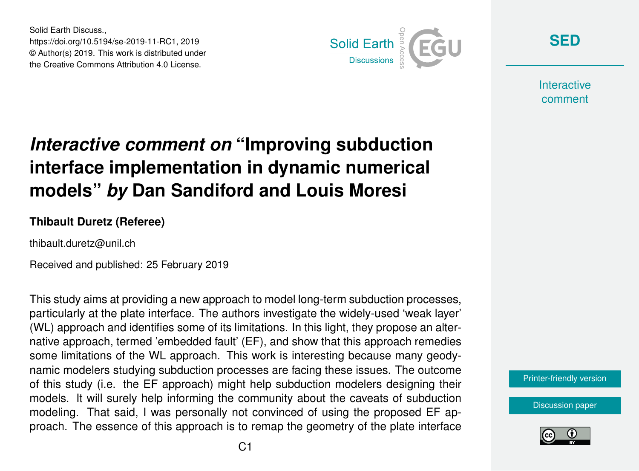Solid Earth Discuss., https://doi.org/10.5194/se-2019-11-RC1, 2019 © Author(s) 2019. This work is distributed under the Creative Commons Attribution 4.0 License.



**[SED](https://www.solid-earth-discuss.net/)**

**Interactive** comment

## *Interactive comment on* **"Improving subduction interface implementation in dynamic numerical models"** *by* **Dan Sandiford and Louis Moresi**

## **Thibault Duretz (Referee)**

thibault.duretz@unil.ch

Received and published: 25 February 2019

This study aims at providing a new approach to model long-term subduction processes, particularly at the plate interface. The authors investigate the widely-used 'weak layer' (WL) approach and identifies some of its limitations. In this light, they propose an alternative approach, termed 'embedded fault' (EF), and show that this approach remedies some limitations of the WL approach. This work is interesting because many geodynamic modelers studying subduction processes are facing these issues. The outcome of this study (i.e. the EF approach) might help subduction modelers designing their models. It will surely help informing the community about the caveats of subduction modeling. That said, I was personally not convinced of using the proposed EF approach. The essence of this approach is to remap the geometry of the plate interface

[Printer-friendly version](https://www.solid-earth-discuss.net/se-2019-11/se-2019-11-RC1-print.pdf)

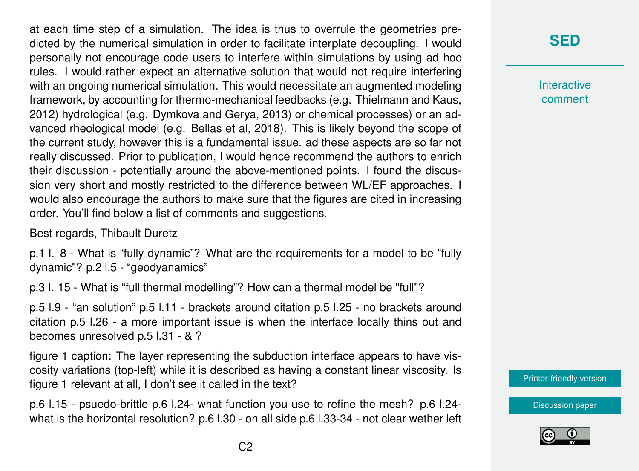at each time step of a simulation. The idea is thus to overrule the geometries predicted by the numerical simulation in order to facilitate interplate decoupling. I would personally not encourage code users to interfere within simulations by using ad hoc rules. I would rather expect an alternative solution that would not require interfering with an ongoing numerical simulation. This would necessitate an augmented modeling framework, by accounting for thermo-mechanical feedbacks (e.g. Thielmann and Kaus, 2012) hydrological (e.g. Dymkova and Gerya, 2013) or chemical processes) or an advanced rheological model (e.g. Bellas et al, 2018). This is likely beyond the scope of the current study, however this is a fundamental issue. ad these aspects are so far not really discussed. Prior to publication, I would hence recommend the authors to enrich their discussion - potentially around the above-mentioned points. I found the discussion very short and mostly restricted to the difference between WL/EF approaches. I would also encourage the authors to make sure that the figures are cited in increasing order. You'll find below a list of comments and suggestions.

Best regards, Thibault Duretz

p.1 l. 8 - What is "fully dynamic"? What are the requirements for a model to be "fully dynamic"? p.2 l.5 - "geodyanamics"

p.3 l. 15 - What is "full thermal modelling"? How can a thermal model be "full"?

p.5 l.9 - "an solution" p.5 l.11 - brackets around citation p.5 l.25 - no brackets around citation p.5 l.26 - a more important issue is when the interface locally thins out and becomes unresolved p.5 l.31 - & ?

figure 1 caption: The layer representing the subduction interface appears to have viscosity variations (top-left) while it is described as having a constant linear viscosity. Is figure 1 relevant at all, I don't see it called in the text?

p.6 l.15 - psuedo-brittle p.6 l.24- what function you use to refine the mesh? p.6 l.24 what is the horizontal resolution? p.6 l.30 - on all side p.6 l.33-34 - not clear wether left

## **[SED](https://www.solid-earth-discuss.net/)**

**Interactive** comment

[Printer-friendly version](https://www.solid-earth-discuss.net/se-2019-11/se-2019-11-RC1-print.pdf)

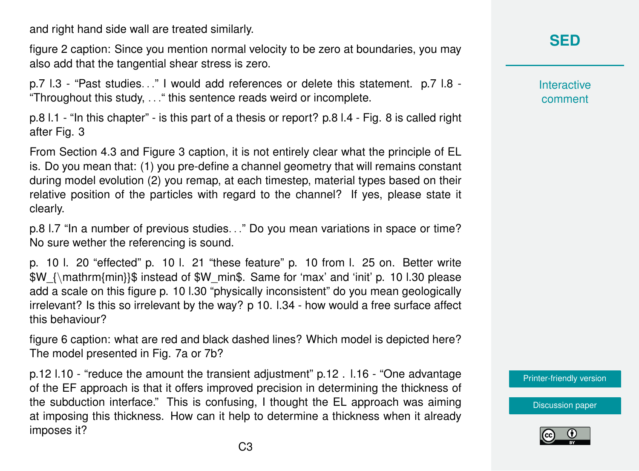and right hand side wall are treated similarly.

figure 2 caption: Since you mention normal velocity to be zero at boundaries, you may also add that the tangential shear stress is zero.

p.7 l.3 - "Past studies. . ." I would add references or delete this statement. p.7 l.8 - "Throughout this study, . . ." this sentence reads weird or incomplete.

p.8 l.1 - "In this chapter" - is this part of a thesis or report? p.8 l.4 - Fig. 8 is called right after Fig. 3

From Section 4.3 and Figure 3 caption, it is not entirely clear what the principle of EL is. Do you mean that: (1) you pre-define a channel geometry that will remains constant during model evolution (2) you remap, at each timestep, material types based on their relative position of the particles with regard to the channel? If yes, please state it clearly.

p.8 l.7 "In a number of previous studies. . ." Do you mean variations in space or time? No sure wether the referencing is sound.

p. 10 l. 20 "effected" p. 10 l. 21 "these feature" p. 10 from l. 25 on. Better write \$W\_{\mathrm{min}}\$ instead of \$W\_min\$. Same for 'max' and 'init' p. 10 l.30 please add a scale on this figure p. 10 l.30 "physically inconsistent" do you mean geologically irrelevant? Is this so irrelevant by the way? p 10. l.34 - how would a free surface affect this behaviour?

figure 6 caption: what are red and black dashed lines? Which model is depicted here? The model presented in Fig. 7a or 7b?

p.12 l.10 - "reduce the amount the transient adjustment" p.12 . l.16 - "One advantage of the EF approach is that it offers improved precision in determining the thickness of the subduction interface." This is confusing, I thought the EL approach was aiming at imposing this thickness. How can it help to determine a thickness when it already imposes it?

**Interactive** comment

[Printer-friendly version](https://www.solid-earth-discuss.net/se-2019-11/se-2019-11-RC1-print.pdf)

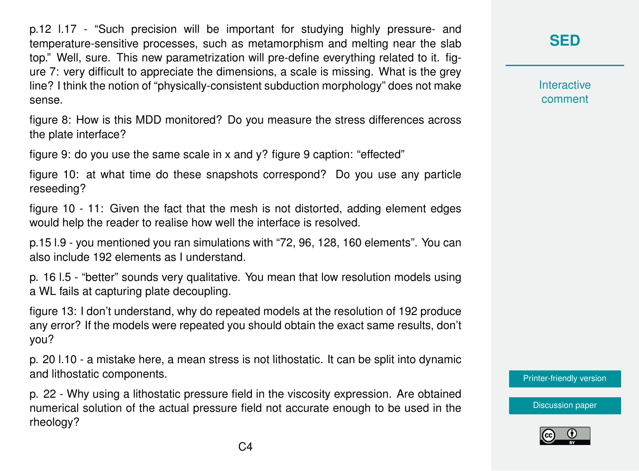p.12 l.17 - "Such precision will be important for studying highly pressure- and temperature-sensitive processes, such as metamorphism and melting near the slab top." Well, sure. This new parametrization will pre-define everything related to it. figure 7: very difficult to appreciate the dimensions, a scale is missing. What is the grey line? I think the notion of "physically-consistent subduction morphology" does not make sense.

figure 8: How is this MDD monitored? Do you measure the stress differences across the plate interface?

figure 9: do you use the same scale in x and y? figure 9 caption: "effected"

figure 10: at what time do these snapshots correspond? Do you use any particle reseeding?

figure 10 - 11: Given the fact that the mesh is not distorted, adding element edges would help the reader to realise how well the interface is resolved.

p.15 l.9 - you mentioned you ran simulations with "72, 96, 128, 160 elements". You can also include 192 elements as I understand.

p. 16 l.5 - "better" sounds very qualitative. You mean that low resolution models using a WL fails at capturing plate decoupling.

figure 13: I don't understand, why do repeated models at the resolution of 192 produce any error? If the models were repeated you should obtain the exact same results, don't you?

p. 20 l.10 - a mistake here, a mean stress is not lithostatic. It can be split into dynamic and lithostatic components.

p. 22 - Why using a lithostatic pressure field in the viscosity expression. Are obtained numerical solution of the actual pressure field not accurate enough to be used in the rheology?

**[SED](https://www.solid-earth-discuss.net/)**

**Interactive** comment

[Printer-friendly version](https://www.solid-earth-discuss.net/se-2019-11/se-2019-11-RC1-print.pdf)